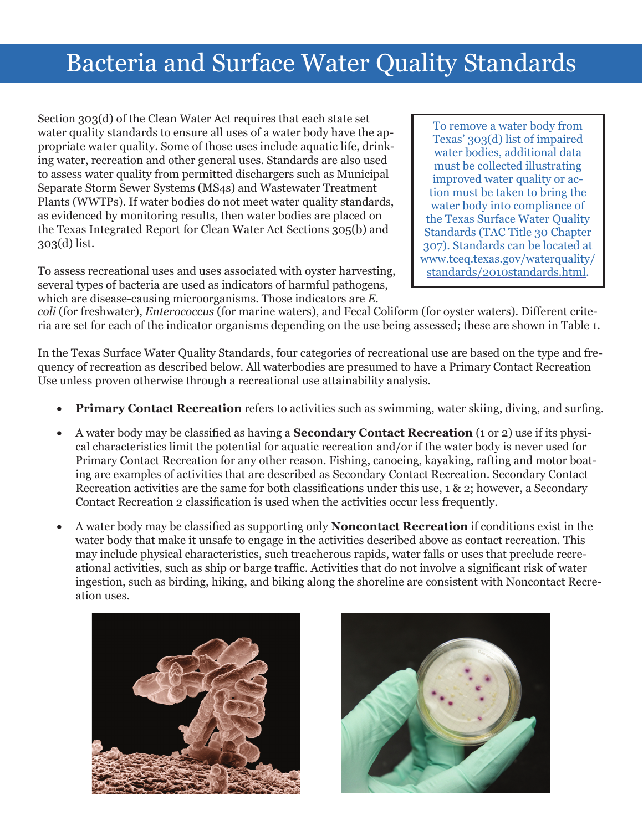## Bacteria and Surface Water Quality Standards

Section 303(d) of the Clean Water Act requires that each state set water quality standards to ensure all uses of a water body have the appropriate water quality. Some of those uses include aquatic life, drinking water, recreation and other general uses. Standards are also used to assess water quality from permitted dischargers such as Municipal Separate Storm Sewer Systems (MS4s) and Wastewater Treatment Plants (WWTPs). If water bodies do not meet water quality standards, as evidenced by monitoring results, then water bodies are placed on the Texas Integrated Report for Clean Water Act Sections 305(b) and 303(d) list.

To remove a water body from Texas' 303(d) list of impaired water bodies, additional data must be collected illustrating improved water quality or action must be taken to bring the water body into compliance of the Texas Surface Water Quality Standards (TAC Title 30 Chapter 307). Standards can be located at [www.tceq.texas.gov/waterquality/](http://www.tceq.texas.gov/waterquality/standards/2010standards.html) [standards/2010standards.html](http://www.tceq.texas.gov/waterquality/standards/2010standards.html).

To assess recreational uses and uses associated with oyster harvesting, several types of bacteria are used as indicators of harmful pathogens, which are disease-causing microorganisms. Those indicators are *E.* 

*coli* (for freshwater), *Enterococcus* (for marine waters), and Fecal Coliform (for oyster waters). Different criteria are set for each of the indicator organisms depending on the use being assessed; these are shown in Table 1.

In the Texas Surface Water Quality Standards, four categories of recreational use are based on the type and frequency of recreation as described below. All waterbodies are presumed to have a Primary Contact Recreation Use unless proven otherwise through a recreational use attainability analysis.

- **Primary Contact Recreation** refers to activities such as swimming, water skiing, diving, and surfing.
- A water body may be classified as having a **Secondary Contact Recreation** (1 or 2) use if its physical characteristics limit the potential for aquatic recreation and/or if the water body is never used for Primary Contact Recreation for any other reason. Fishing, canoeing, kayaking, rafting and motor boating are examples of activities that are described as Secondary Contact Recreation. Secondary Contact Recreation activities are the same for both classifications under this use, 1 & 2; however, a Secondary Contact Recreation 2 classification is used when the activities occur less frequently.
- A water body may be classified as supporting only **Noncontact Recreation** if conditions exist in the water body that make it unsafe to engage in the activities described above as contact recreation. This may include physical characteristics, such treacherous rapids, water falls or uses that preclude recreational activities, such as ship or barge traffic. Activities that do not involve a significant risk of water ingestion, such as birding, hiking, and biking along the shoreline are consistent with Noncontact Recreation uses.